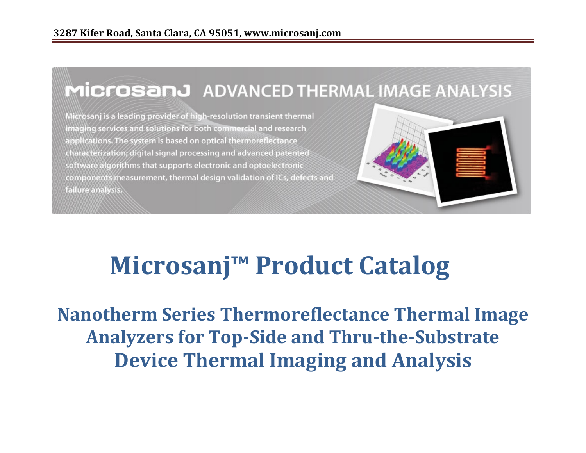## MICrosanJ ADVANCED THERMAL IMAGE ANALYSIS

Microsanj is a leading provider of high-resolution transient thermal imaging services and solutions for both commercial and research applications. The system is based on optical thermoreflectance characterization; digital signal processing and advanced patented software algorithms that supports electronic and optoelectronic components measurement, thermal design validation of ICs, defects and



# **Microsanj™ Product Catalog**

**Nanotherm Series Thermoreflectance Thermal Image Analyzers for Top-Side and Thru-the-Substrate**<br> **Analyzers for Top-Side and Thru-the-Substrate Device Thermal Imaging and Analysis**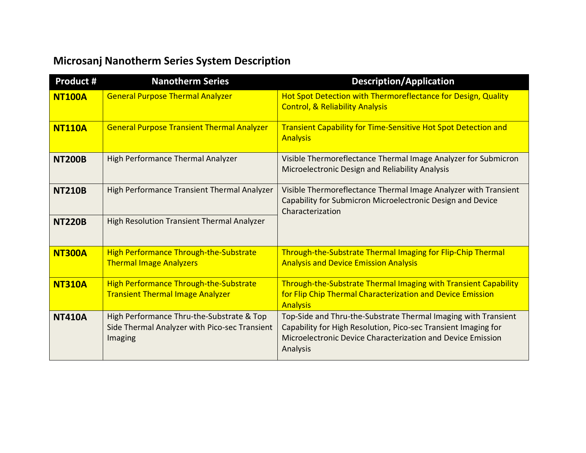# **Microsanj Nanotherm Series System Description**

| <b>Microsanj Nanotherm Series System Description</b> |                                                                                                       |                                                                                                                                                                                                             |  |  |  |  |
|------------------------------------------------------|-------------------------------------------------------------------------------------------------------|-------------------------------------------------------------------------------------------------------------------------------------------------------------------------------------------------------------|--|--|--|--|
| <b>Product #</b>                                     | <b>Nanotherm Series</b>                                                                               | <b>Description/Application</b>                                                                                                                                                                              |  |  |  |  |
| <b>NT100A</b>                                        | <b>General Purpose Thermal Analyzer</b>                                                               | Hot Spot Detection with Thermoreflectance for Design, Quality<br><b>Control, &amp; Reliability Analysis</b>                                                                                                 |  |  |  |  |
| <b>NT110A</b>                                        | <b>General Purpose Transient Thermal Analyzer</b>                                                     | <b>Transient Capability for Time-Sensitive Hot Spot Detection and</b><br><b>Analysis</b>                                                                                                                    |  |  |  |  |
| <b>NT200B</b>                                        | High Performance Thermal Analyzer                                                                     | Visible Thermoreflectance Thermal Image Analyzer for Submicron<br>Microelectronic Design and Reliability Analysis                                                                                           |  |  |  |  |
| <b>NT210B</b>                                        | High Performance Transient Thermal Analyzer                                                           | Visible Thermoreflectance Thermal Image Analyzer with Transient<br>Capability for Submicron Microelectronic Design and Device<br>Characterization                                                           |  |  |  |  |
| <b>NT220B</b>                                        | High Resolution Transient Thermal Analyzer                                                            |                                                                                                                                                                                                             |  |  |  |  |
| <b>NT300A</b>                                        | <b>High Performance Through-the-Substrate</b><br><b>Thermal Image Analyzers</b>                       | Through-the-Substrate Thermal Imaging for Flip-Chip Thermal<br><b>Analysis and Device Emission Analysis</b>                                                                                                 |  |  |  |  |
| <b>NT310A</b>                                        | High Performance Through-the-Substrate<br><b>Transient Thermal Image Analyzer</b>                     | Through-the-Substrate Thermal Imaging with Transient Capability<br>for Flip Chip Thermal Characterization and Device Emission<br><b>Analysis</b>                                                            |  |  |  |  |
| <b>NT410A</b>                                        | High Performance Thru-the-Substrate & Top<br>Side Thermal Analyzer with Pico-sec Transient<br>Imaging | Top-Side and Thru-the-Substrate Thermal Imaging with Transient<br>Capability for High Resolution, Pico-sec Transient Imaging for<br>Microelectronic Device Characterization and Device Emission<br>Analysis |  |  |  |  |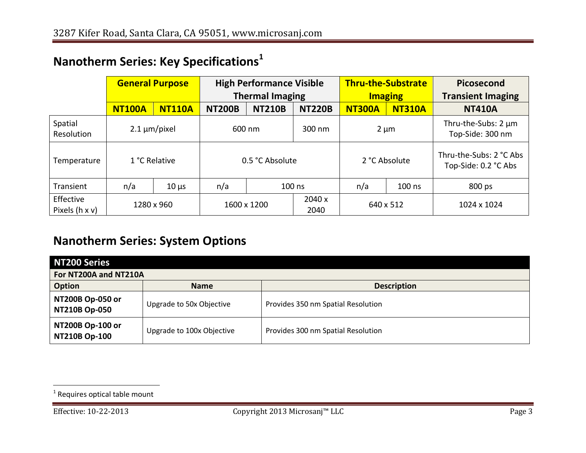| Nanotherm Series: Key Specifications <sup>1</sup> |                        |               |                                                           |               |                                             |               |                                                 |                                              |  |
|---------------------------------------------------|------------------------|---------------|-----------------------------------------------------------|---------------|---------------------------------------------|---------------|-------------------------------------------------|----------------------------------------------|--|
|                                                   | <b>General Purpose</b> |               | <b>High Performance Visible</b><br><b>Thermal Imaging</b> |               | <b>Thru-the-Substrate</b><br><b>Imaging</b> |               | Picosecond<br><b>Transient Imaging</b>          |                                              |  |
|                                                   | <b>NT100A</b>          | <b>NT110A</b> | <b>NT200B</b>                                             | <b>NT210B</b> | <b>NT220B</b>                               | <b>NT300A</b> | <b>NT310A</b>                                   | <b>NT410A</b>                                |  |
| Spatial<br>Resolution                             | $2.1 \mu m/p$ ixel     |               | 600 nm                                                    |               | $300 \text{ nm}$                            | $2 \mu m$     |                                                 | Thru-the-Subs: $2 \mu m$<br>Top-Side: 300 nm |  |
| Temperature                                       | 1 °C Relative          |               | 0.5 °C Absolute                                           |               | 2 °C Absolute                               |               | Thru-the-Subs: 2 °C Abs<br>Top-Side: 0.2 °C Abs |                                              |  |
| Transient                                         | n/a                    | $10 \mu s$    | n/a                                                       |               | $100$ ns                                    | n/a           | $100$ ns                                        | 800 ps                                       |  |
| Effective<br>Pixels (h x v)                       |                        | 1280 x 960    | 1600 x 1200                                               |               | 2040 x<br>2040                              | 640 x 512     |                                                 | 1024 x 1024                                  |  |

#### **Nanotherm Series: System Options**

| NT200 Series                             |                           |                                    |  |  |  |
|------------------------------------------|---------------------------|------------------------------------|--|--|--|
| For NT200A and NT210A                    |                           |                                    |  |  |  |
| <b>Option</b>                            | <b>Name</b>               | <b>Description</b>                 |  |  |  |
| NT200B Op-050 or<br><b>NT210B Op-050</b> | Upgrade to 50x Objective  | Provides 350 nm Spatial Resolution |  |  |  |
| NT200B Op-100 or<br>NT210B Op-100        | Upgrade to 100x Objective | Provides 300 nm Spatial Resolution |  |  |  |

 $\overline{a}$ 

 $<sup>1</sup>$  Requires optical table mount</sup>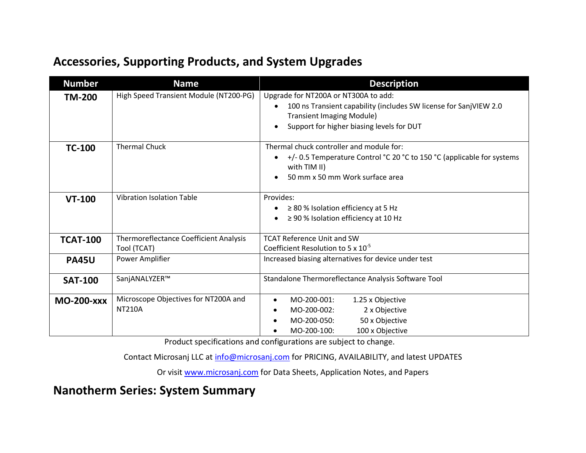#### **Accessories, Supporting Products, and System Upgrades**

| <b>Number</b>     | <b>Name</b>                                                  | <b>Description</b>                                                                                                                                                                         |  |  |  |
|-------------------|--------------------------------------------------------------|--------------------------------------------------------------------------------------------------------------------------------------------------------------------------------------------|--|--|--|
| <b>TM-200</b>     | High Speed Transient Module (NT200-PG)                       | Upgrade for NT200A or NT300A to add:<br>100 ns Transient capability (includes SW license for SanjVIEW 2.0<br><b>Transient Imaging Module)</b><br>Support for higher biasing levels for DUT |  |  |  |
| <b>TC-100</b>     | <b>Thermal Chuck</b>                                         | Thermal chuck controller and module for:<br>+/- 0.5 Temperature Control °C 20 °C to 150 °C (applicable for systems<br>with TIM II)<br>50 mm x 50 mm Work surface area                      |  |  |  |
| <b>VT-100</b>     | <b>Vibration Isolation Table</b>                             | Provides:<br>$\geq$ 80 % Isolation efficiency at 5 Hz<br>$\geq$ 90 % Isolation efficiency at 10 Hz                                                                                         |  |  |  |
| <b>TCAT-100</b>   | <b>Thermoreflectance Coefficient Analysis</b><br>Tool (TCAT) | <b>TCAT Reference Unit and SW</b><br>Coefficient Resolution to 5 x $10^{-5}$                                                                                                               |  |  |  |
| <b>PA45U</b>      | Power Amplifier                                              | Increased biasing alternatives for device under test                                                                                                                                       |  |  |  |
| <b>SAT-100</b>    | SanjANALYZER™                                                | Standalone Thermoreflectance Analysis Software Tool                                                                                                                                        |  |  |  |
| <b>MO-200-XXX</b> | Microscope Objectives for NT200A and<br><b>NT210A</b>        | 1.25 x Objective<br>MO-200-001:<br>$\bullet$<br>MO-200-002:<br>2 x Objective<br>٠<br>50 x Objective<br>MO-200-050:<br>٠<br>MO-200-100:<br>100 x Objective                                  |  |  |  |

Product specifications and configurations are subject to change.

Contact Microsanj LLC at info@microsanj.com for PRICING, AVAILABILITY, and latest UPDATES

Or visit www.microsanj.com for Data Sheets, Application Notes, and Papers

**Nanotherm Series: System Summary**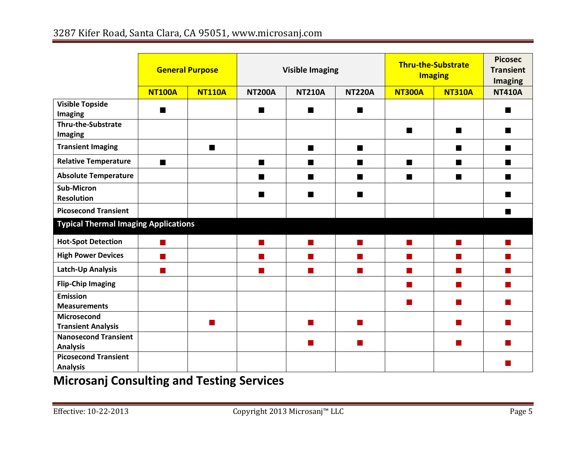|                                                | <b>General Purpose</b>                      |                | <b>Visible Imaging</b> |               | <b>Thru-the-Substrate</b><br><b>Imaging</b> |                             | <b>Picosec</b><br><b>Transient</b><br><b>Imaging</b>                                                                                                                                                                                 |                           |
|------------------------------------------------|---------------------------------------------|----------------|------------------------|---------------|---------------------------------------------|-----------------------------|--------------------------------------------------------------------------------------------------------------------------------------------------------------------------------------------------------------------------------------|---------------------------|
|                                                | <b>NT100A</b>                               | <b>NT110A</b>  | <b>NT200A</b>          | <b>NT210A</b> | <b>NT220A</b>                               | <b>NT300A</b>               | <b>NT310A</b>                                                                                                                                                                                                                        | <b>NT410A</b>             |
| <b>Visible Topside</b><br>Imaging              | п                                           |                | ш                      | ш             | $\blacksquare$                              |                             |                                                                                                                                                                                                                                      | ■                         |
| <b>Thru-the-Substrate</b><br>Imaging           |                                             |                |                        |               |                                             | $\blacksquare$              | п                                                                                                                                                                                                                                    | ■                         |
| <b>Transient Imaging</b>                       |                                             | $\blacksquare$ |                        | п             | $\blacksquare$                              |                             | п                                                                                                                                                                                                                                    | $\blacksquare$            |
| <b>Relative Temperature</b>                    | $\blacksquare$                              |                | $\blacksquare$         | ■             | ■                                           | $\mathcal{L}_{\mathcal{A}}$ | п                                                                                                                                                                                                                                    |                           |
| <b>Absolute Temperature</b>                    |                                             |                | ■                      | ■             |                                             | ■                           | <b>In the contract of the contract of the contract of the contract of the contract of the contract of the contract of the contract of the contract of the contract of the contract of the contract of the contract of the contra</b> | ٠                         |
| <b>Sub-Micron</b><br><b>Resolution</b>         |                                             |                | ■                      | ш             | ■                                           |                             |                                                                                                                                                                                                                                      |                           |
| <b>Picosecond Transient</b>                    |                                             |                |                        |               |                                             |                             |                                                                                                                                                                                                                                      |                           |
|                                                | <b>Typical Thermal Imaging Applications</b> |                |                        |               |                                             |                             |                                                                                                                                                                                                                                      |                           |
| <b>Hot-Spot Detection</b>                      | m.                                          |                | $\blacksquare$         | T.            | <b>College</b>                              | <b>The Co</b>               | <b>College</b>                                                                                                                                                                                                                       | <b>The Second Service</b> |
| <b>High Power Devices</b>                      | $\mathcal{L}^{\mathcal{A}}$                 |                | ш                      | T.            | <b>The State</b>                            | <b>The State</b>            | <b>The Co</b>                                                                                                                                                                                                                        | ٠                         |
| Latch-Up Analysis                              | m.                                          |                |                        |               | m.                                          |                             | $\blacksquare$                                                                                                                                                                                                                       | ٠                         |
| <b>Flip-Chip Imaging</b>                       |                                             |                |                        |               |                                             | <b>The Second</b>           | $\mathcal{L}_{\mathcal{A}}$                                                                                                                                                                                                          | <b>STAR</b>               |
| <b>Emission</b><br><b>Measurements</b>         |                                             |                |                        |               |                                             |                             | ш                                                                                                                                                                                                                                    |                           |
| Microsecond<br><b>Transient Analysis</b>       |                                             | H              |                        |               | ш                                           |                             | m.                                                                                                                                                                                                                                   |                           |
| <b>Nanosecond Transient</b><br><b>Analysis</b> |                                             |                |                        |               | m.                                          |                             | ш                                                                                                                                                                                                                                    |                           |
| <b>Picosecond Transient</b><br><b>Analysis</b> |                                             |                |                        |               |                                             |                             |                                                                                                                                                                                                                                      |                           |

### **Microsanj Consulting and Testing Services**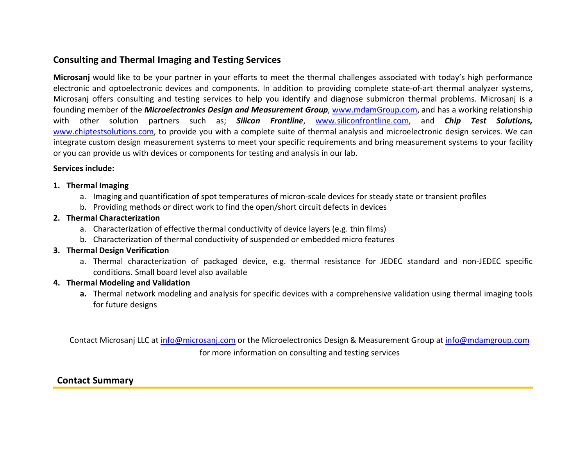#### **Consulting and Thermal Imaging and Testing Services**

**Microsanj** would like to be your partner in your efforts to meet the thermal challenges associated with today's high performance electronic and the three what is and the setting bettices<br> **Microsanj** would like to be your partner in your efforts to meet the thermal challenges associated with today's high performance<br>
electronic and optoelectronic de Microsanj would like to be your partner in your efforts to meet the thermal challenges associated with today's high performance<br>electronic and optoelectronic devices and components. In addition to providing complete statefounding member of the *Microelectronics Design and Measurement Group*, www.mdamGroup.com, and has a working relationship with other solution partners such as; *Silicon Frontline*, www.siliconfrontline.com, and *Chip Test Solutions,*  www.chiptestsolutions.com, to provide you with a complete suite of thermal analysis and microelectronic design services. We can integrate custom design measurement systems to your facility<br>or you can provide us with device integrate custom design measurement systems to meet your specific requirements and bring measurement systems to your facility

#### **Services include:**

#### **1. Thermal Imaging**

- a. Include:<br>**rmal Imaging**<br>a. Imaging and quantification of spot temperatures of micron-scale devices for steady state or transient profiles rmal Imaging<br>a. Imaging and quantification of spot temperatures of micron-scale devices for steady s<br>b. Providing methods or direct work to find the open/short circuit defects in devices<br>smal Characterisation
- 

# **2.** Imaging and quantifica<br>**2. Thermal Characterization**<br>**2. Characterization**

- b. Providing methods or direct work to find the open/short circuit defects in devices<br> **rmal Characterization**<br>
a. Characterization of effective thermal conductivity of device layers (e.g. thin films)<br>
b. Characterization
- rmal Characterization<br>a. Characterization of effective thermal conductivity of device layers (e.g. thin films)<br>b. Characterization of thermal conductivity of suspended or embedded micro features<br>smal Desian Vesification **b.** Characterization of thermal conductivity of suspended or embedded micro features<br>**3. Thermal Design Verification**

b. Characterization of thermal conductivity of suspended or embedded micro features<br> **rmal Design Verification**<br>
a. Thermal characterization of packaged device, e.g. thermal resistance for JEDEC standard and non-JEDEC spec conditions. Small board level also available **4. Thermal characterization of property conditions.**<br>**4. Thermal Modeling and Validation**<br>**4. Thermal Modeling and Validation** 

**a.** Thermal network modeling and analysis for specific devices with a comprehensive validation using thermal imaging tools for future designs

Contact Microsanj LLC at info@microsanj.com or the Microelectronics Design & Measurement Group at info@mdamgroup.com for more information on consulting and testing services

#### **Contact Summary**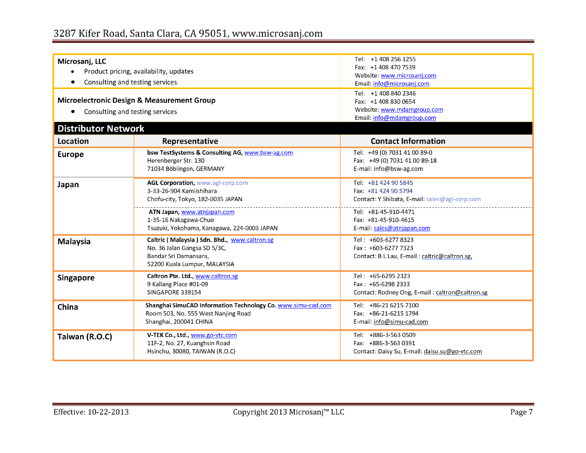| Microsanj, LLC                  |                                                                                                     | Tel: +1 408 256 1255                                                   |  |  |  |  |
|---------------------------------|-----------------------------------------------------------------------------------------------------|------------------------------------------------------------------------|--|--|--|--|
|                                 | Product pricing, availability, updates                                                              | Fax: +1 408 470 7539                                                   |  |  |  |  |
| Consulting and testing services |                                                                                                     | Website: www.microsanj.com<br>Email: info@microsanj.com                |  |  |  |  |
|                                 |                                                                                                     | Tel: +1 408 840 2346                                                   |  |  |  |  |
|                                 | <b>Microelectronic Design &amp; Measurement Group</b>                                               | Fax: +1 408 830 0654                                                   |  |  |  |  |
| Consulting and testing services |                                                                                                     | Website: www.mdamgroup.com                                             |  |  |  |  |
|                                 |                                                                                                     | Email: info@mdamgroup.com                                              |  |  |  |  |
| <b>Distributor Network</b>      |                                                                                                     |                                                                        |  |  |  |  |
| <b>Location</b>                 | Representative                                                                                      | <b>Contact Information</b>                                             |  |  |  |  |
| <b>Europe</b>                   | bsw TestSystems & Consulting AG, www.bsw-ag.com                                                     | Tel: +49 (0) 7031 41 00 89-0                                           |  |  |  |  |
|                                 | Herenberger Str. 130                                                                                | Fax: +49 (0) 7031 41 00 89-18                                          |  |  |  |  |
|                                 | 71034 Böblingen, GERMANY                                                                            | E-mail: info@bsw-ag.com                                                |  |  |  |  |
| Japan                           | AGL Corporation, www.agl-corp.com                                                                   | Tel: +81 424 90 5845                                                   |  |  |  |  |
|                                 | 3-33-26-904 Kamiishihara                                                                            | Fax: +81 424 90 5794                                                   |  |  |  |  |
|                                 | Chofu-city, Tokyo, 182-0035 JAPAN                                                                   | Contact: Y Shibata, E-mail: sales@agl-corp.com                         |  |  |  |  |
|                                 | ATN Japan, www.atnjapan.com                                                                         | Tel: +81-45-910-4471                                                   |  |  |  |  |
|                                 | 1-35-16 Nakagawa-Chuo                                                                               | Fax: +81-45-910-4615                                                   |  |  |  |  |
|                                 | Tsuzuki, Yokohama, Kanagawa, 224-0003 JAPAN                                                         | E-mail: sales@atnjapan.com                                             |  |  |  |  |
| <b>Malaysia</b>                 | Caltric (Malaysia) Sdn. Bhd., www.caltron.sg                                                        | Tel: +603-6277 8323                                                    |  |  |  |  |
|                                 | No. 36 Jalan Gangsa SD 5/3C,                                                                        | Fax: +603-6277 7323                                                    |  |  |  |  |
|                                 | Bandar Sri Damansara.<br>52200 Kuala Lumpur, MALAYSIA                                               | Contact: B L Lau, E-mail: caltric@caltron.sg,                          |  |  |  |  |
|                                 |                                                                                                     |                                                                        |  |  |  |  |
| <b>Singapore</b>                | Caltron Pte. Ltd., www.caltron.sg<br>9 Kallang Place #01-09                                         | Tel: +65-6295 2323<br>Fax: +65-6298 2333                               |  |  |  |  |
|                                 | SINGAPORE 339154                                                                                    | Contact: Rodney Ong, E-mail: caltron@caltron.sg                        |  |  |  |  |
|                                 |                                                                                                     |                                                                        |  |  |  |  |
| <b>China</b>                    | Shanghai SimuCAD Information Technology Co. www.simu-cad.com<br>Room 503, No. 555 West Nanjing Road | Tel: +86-21 6215 7100<br>Fax: +86-21-6215 1794                         |  |  |  |  |
|                                 | Shanghai, 200041 CHINA                                                                              | E-mail: info@simu-cad.com                                              |  |  |  |  |
|                                 |                                                                                                     |                                                                        |  |  |  |  |
| Taiwan (R.O.C)                  | V-TEK Co., Ltd., www.go-vtc.com                                                                     | Tel: +886-3-563 0509                                                   |  |  |  |  |
|                                 | 11F-2, No. 27, Kuanghsin Road<br>Hsinchu, 30080, TAIWAN (R.O.C)                                     | Fax: +886-3-563 0391<br>Contact: Daisy Su, E-mail: daisu.su@go-vtc.com |  |  |  |  |
|                                 |                                                                                                     |                                                                        |  |  |  |  |